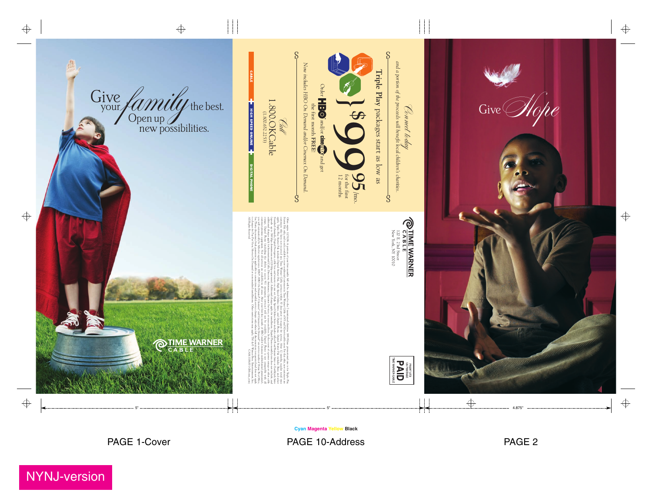



NYNJ-version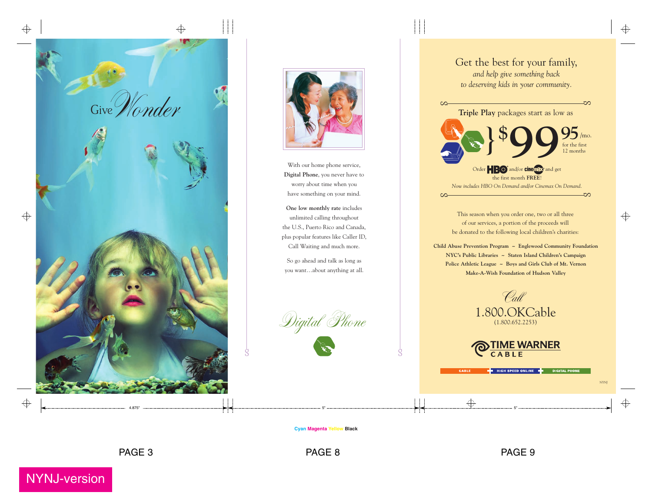**Cyan Magenta Yellow Black**



With our home phone service, **Digital Phone**, you never have to worry about time when you have something on your mind.

Digital Phone  $\frac{1}{3}$  g and  $\frac{1}{3}$  g and  $\frac{1}{3}$ 





**One low monthly rate** includes unlimited calling throughout the U.S., Puerto Rico and Canada, plus popular features like Caller ID, Call Waiting and much more.

So go ahead and talk as long as you want…about anything at all.



NYNJ-version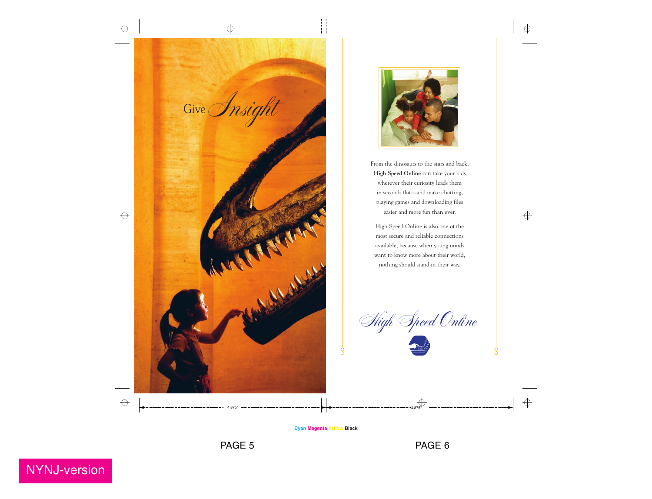![](_page_2_Picture_0.jpeg)

![](_page_2_Picture_1.jpeg)

**Cyan Magenta Yellow Black**

PAGE 5 PAGE 6

From the dinosaurs to the stars and back, **High Speed Online** can take your kids wherever their curiosity leads them in seconds flat—and make chatting, playing games and downloading files easier and more fun than ever.

High Speed Online is also one of the most secure and reliable connections available, because when young minds want to know more about their world, nothing should stand in their way.

![](_page_2_Picture_4.jpeg)

![](_page_2_Picture_7.jpeg)

 $\Rightarrow$